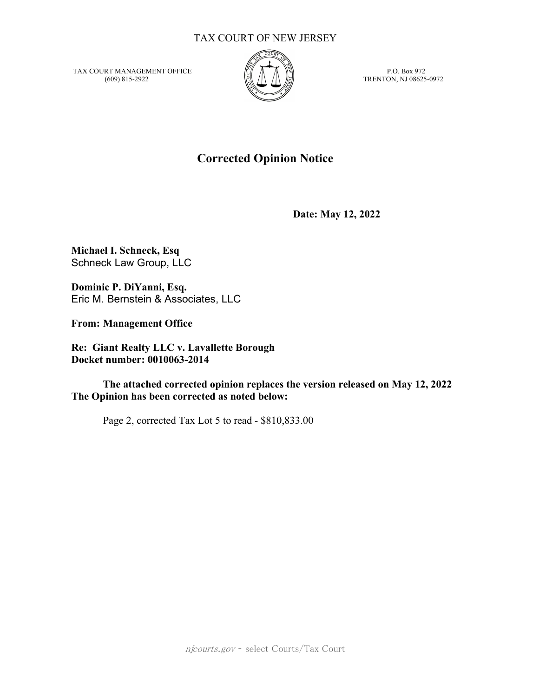## TAX COURT OF NEW JERSEY

TAX COURT MANAGEMENT OFFICE  $\begin{bmatrix} 60 & 0.8 \ 0.08 & 0.8 \end{bmatrix}$  P.O. Box 972



TRENTON, NJ 08625-0972

# **Corrected Opinion Notice**

**Date: May 12, 2022**

**Michael I. Schneck, Esq** Schneck Law Group, LLC

**Dominic P. DiYanni, Esq.** Eric M. Bernstein & Associates, LLC

**From: Management Office** 

**Re: Giant Realty LLC v. Lavallette Borough Docket number: 0010063-2014** 

**The attached corrected opinion replaces the version released on May 12, 2022 The Opinion has been corrected as noted below:**

Page 2, corrected Tax Lot 5 to read - \$810,833.00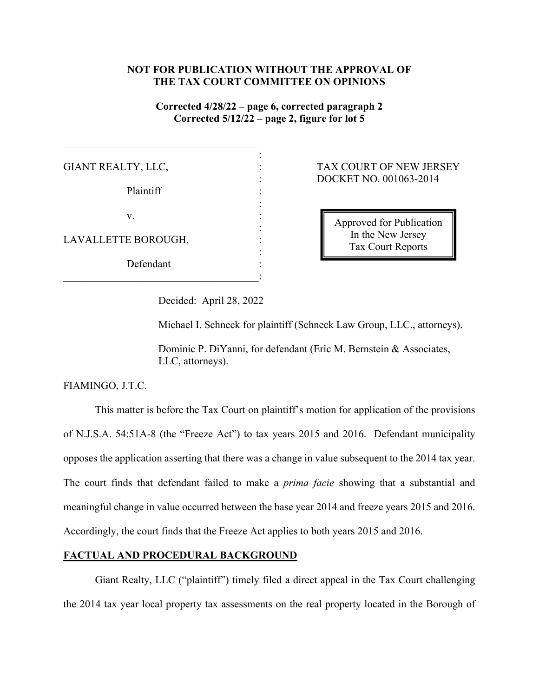### **NOT FOR PUBLICATION WITHOUT THE APPROVAL OF THE TAX COURT COMMITTEE ON OPINIONS**

**Corrected 4/28/22 – page 6, corrected paragraph 2 Corrected 5/12/22 – page 2, figure for lot 5** 

| GIANT REALTY, LLC,  |  |
|---------------------|--|
|                     |  |
| Plaintiff           |  |
|                     |  |
| V.                  |  |
| LAVALLETTE BOROUGH, |  |
| Defendant           |  |
|                     |  |

 $\_$  . The contribution of the contribution of  $\mathcal{L}_\mathcal{L}$ 

TAX COURT OF NEW JERSEY : DOCKET NO. 001063-2014

> Approved for Publication In the New Jersey Tax Court Reports

Decided: April 28, 2022

Michael I. Schneck for plaintiff (Schneck Law Group, LLC., attorneys).

Dominic P. DiYanni, for defendant (Eric M. Bernstein & Associates, LLC, attorneys).

FIAMINGO, J.T.C.

This matter is before the Tax Court on plaintiff's motion for application of the provisions of N.J.S.A. 54:51A-8 (the "Freeze Act") to tax years 2015 and 2016. Defendant municipality opposes the application asserting that there was a change in value subsequent to the 2014 tax year. The court finds that defendant failed to make a *prima facie* showing that a substantial and meaningful change in value occurred between the base year 2014 and freeze years 2015 and 2016. Accordingly, the court finds that the Freeze Act applies to both years 2015 and 2016.

### **FACTUAL AND PROCEDURAL BACKGROUND**

Giant Realty, LLC ("plaintiff") timely filed a direct appeal in the Tax Court challenging the 2014 tax year local property tax assessments on the real property located in the Borough of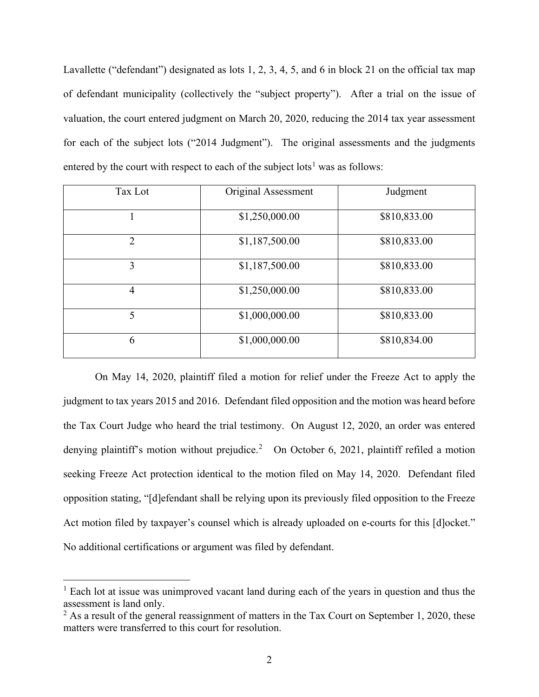Lavallette ("defendant") designated as lots 1, 2, 3, 4, 5, and 6 in block 21 on the official tax map of defendant municipality (collectively the "subject property"). After a trial on the issue of valuation, the court entered judgment on March 20, 2020, reducing the 2014 tax year assessment for each of the subject lots ("2014 Judgment"). The original assessments and the judgments entered by the court with respect to each of the subject lots<sup>1</sup> was as follows:

| Tax Lot        | Original Assessment | Judgment     |
|----------------|---------------------|--------------|
|                | \$1,250,000.00      | \$810,833.00 |
| $\overline{2}$ | \$1,187,500.00      | \$810,833.00 |
| 3              | \$1,187,500.00      | \$810,833.00 |
| $\overline{4}$ | \$1,250,000.00      | \$810,833.00 |
| 5              | \$1,000,000.00      | \$810,833.00 |
| 6              | \$1,000,000.00      | \$810,834.00 |

On May 14, 2020, plaintiff filed a motion for relief under the Freeze Act to apply the judgment to tax years 2015 and 2016. Defendant filed opposition and the motion was heard before the Tax Court Judge who heard the trial testimony. On August 12, 2020, an order was entered denying plaintiff's motion without prejudice.<sup>2</sup> On October 6, 2021, plaintiff refiled a motion seeking Freeze Act protection identical to the motion filed on May 14, 2020. Defendant filed opposition stating, "[d]efendant shall be relying upon its previously filed opposition to the Freeze Act motion filed by taxpayer's counsel which is already uploaded on e-courts for this [d]ocket." No additional certifications or argument was filed by defendant.

 $<sup>1</sup>$  Each lot at issue was unimproved vacant land during each of the years in question and thus the</sup> assessment is land only.

 $2$  As a result of the general reassignment of matters in the Tax Court on September 1, 2020, these matters were transferred to this court for resolution.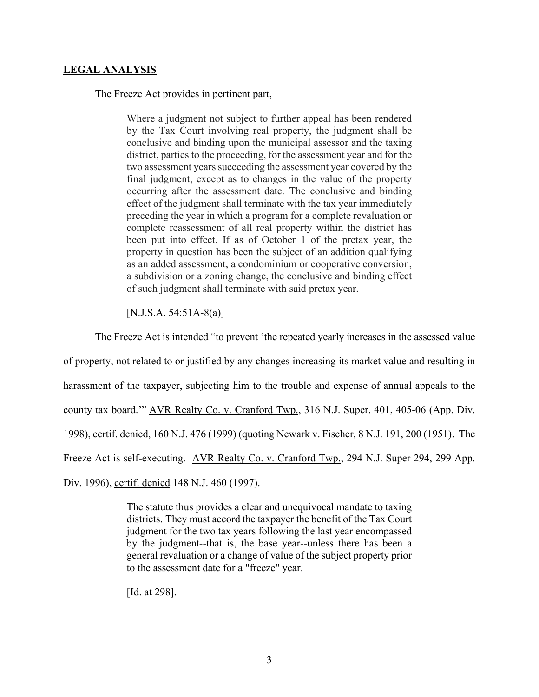#### **LEGAL ANALYSIS**

The Freeze Act provides in pertinent part,

Where a judgment not subject to further appeal has been rendered by the Tax Court involving real property, the judgment shall be conclusive and binding upon the municipal assessor and the taxing district, parties to the proceeding, for the assessment year and for the two assessment years succeeding the assessment year covered by the final judgment, except as to changes in the value of the property occurring after the assessment date. The conclusive and binding effect of the judgment shall terminate with the tax year immediately preceding the year in which a program for a complete revaluation or complete reassessment of all real property within the district has been put into effect. If as of October 1 of the pretax year, the property in question has been the subject of an addition qualifying as an added assessment, a condominium or cooperative conversion, a subdivision or a zoning change, the conclusive and binding effect of such judgment shall terminate with said pretax year.

[N.J.S.A. 54:51A-8(a)]

The Freeze Act is intended "to prevent 'the repeated yearly increases in the assessed value of property, not related to or justified by any changes increasing its market value and resulting in

harassment of the taxpayer, subjecting him to the trouble and expense of annual appeals to the

county tax board.'" AVR Realty Co. v. Cranford Twp., 316 N.J. Super. 401, 405-06 (App. Div.

1998), certif. denied, 160 N.J. 476 (1999) (quoting Newark v. Fischer, 8 N.J. 191, 200 (1951). The

Freeze Act is self-executing. AVR Realty Co. v. Cranford Twp., 294 N.J. Super 294, 299 App.

Div. 1996), certif. denied 148 N.J. 460 (1997).

The statute thus provides a clear and unequivocal mandate to taxing districts. They must accord the taxpayer the benefit of the Tax Court judgment for the two tax years following the last year encompassed by the judgment--that is, the base year--unless there has been a general revaluation or a change of value of the subject property prior to the assessment date for a "freeze" year.

[Id. at 298].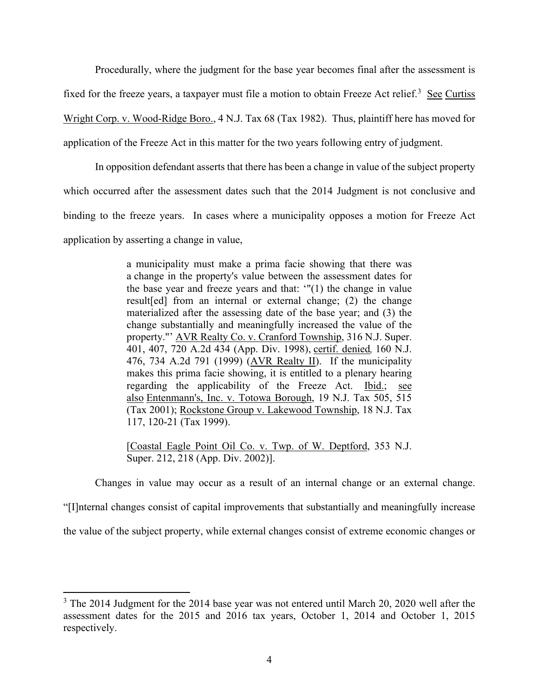Procedurally, where the judgment for the base year becomes final after the assessment is fixed for the freeze years, a taxpayer must file a motion to obtain Freeze Act relief.<sup>3</sup> See Curtiss Wright Corp. v. Wood-Ridge Boro., 4 N.J. Tax 68 (Tax 1982). Thus, plaintiff here has moved for application of the Freeze Act in this matter for the two years following entry of judgment.

In opposition defendant asserts that there has been a change in value of the subject property which occurred after the assessment dates such that the 2014 Judgment is not conclusive and binding to the freeze years. In cases where a municipality opposes a motion for Freeze Act application by asserting a change in value,

> a municipality must make a prima facie showing that there was a change in the property's value between the assessment dates for the base year and freeze years and that: '"(1) the change in value result[ed] from an internal or external change; (2) the change materialized after the assessing date of the base year; and (3) the change substantially and meaningfully increased the value of the property."' AVR Realty Co. v. Cranford Township, 316 N.J. Super. 401, 407, 720 A.2d 434 (App. Div. 1998), certif. denied*,* 160 N.J. 476, 734 A.2d 791 (1999) (AVR Realty II). If the municipality makes this prima facie showing, it is entitled to a plenary hearing regarding the applicability of the Freeze Act. Ibid.; see also Entenmann's, Inc. v. Totowa Borough, 19 N.J. Tax 505, 515 (Tax 2001); Rockstone Group v. Lakewood Township, 18 N.J. Tax 117, 120-21 (Tax 1999).

> [Coastal Eagle Point Oil Co. v. Twp. of W. Deptford, 353 N.J. Super. 212, 218 (App. Div. 2002)].

Changes in value may occur as a result of an internal change or an external change. "[I]nternal changes consist of capital improvements that substantially and meaningfully increase the value of the subject property, while external changes consist of extreme economic changes or

 $3$  The 2014 Judgment for the 2014 base year was not entered until March 20, 2020 well after the assessment dates for the 2015 and 2016 tax years, October 1, 2014 and October 1, 2015 respectively.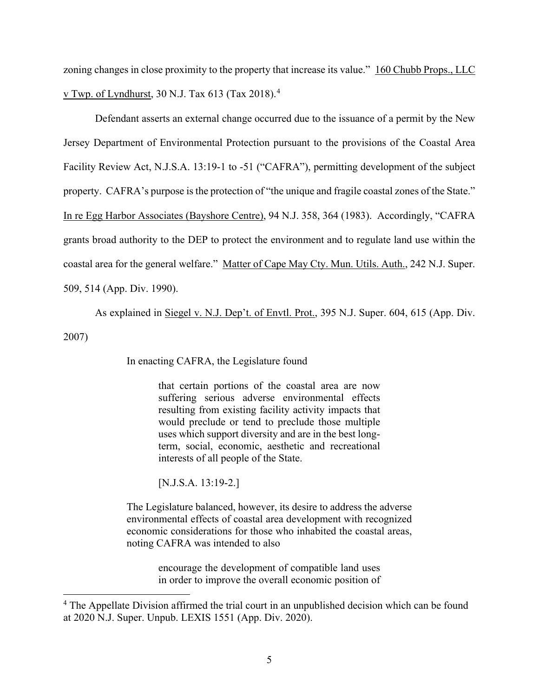zoning changes in close proximity to the property that increase its value." 160 Chubb Props., LLC v Twp. of Lyndhurst, 30 N.J. Tax 613 (Tax 2018).<sup>4</sup>

Defendant asserts an external change occurred due to the issuance of a permit by the New Jersey Department of Environmental Protection pursuant to the provisions of the Coastal Area Facility Review Act, N.J.S.A. 13:19-1 to -51 ("CAFRA"), permitting development of the subject property. CAFRA's purpose is the protection of "the unique and fragile coastal zones of the State." In re Egg Harbor Associates (Bayshore Centre), 94 N.J. 358, 364 (1983). Accordingly, "CAFRA grants broad authority to the DEP to protect the environment and to regulate land use within the coastal area for the general welfare." Matter of Cape May Cty. Mun. Utils. Auth., 242 N.J. Super. 509, 514 (App. Div. 1990).

As explained in Siegel v. N.J. Dep't. of Envtl. Prot., 395 N.J. Super. 604, 615 (App. Div. 2007)

In enacting CAFRA, the Legislature found

that certain portions of the coastal area are now suffering serious adverse environmental effects resulting from existing facility activity impacts that would preclude or tend to preclude those multiple uses which support diversity and are in the best longterm, social, economic, aesthetic and recreational interests of all people of the State.

[N.J.S.A. 13:19-2.]

The Legislature balanced, however, its desire to address the adverse environmental effects of coastal area development with recognized economic considerations for those who inhabited the coastal areas, noting CAFRA was intended to also

> encourage the development of compatible land uses in order to improve the overall economic position of

<sup>&</sup>lt;sup>4</sup> The Appellate Division affirmed the trial court in an unpublished decision which can be found at 2020 N.J. Super. Unpub. LEXIS 1551 (App. Div. 2020).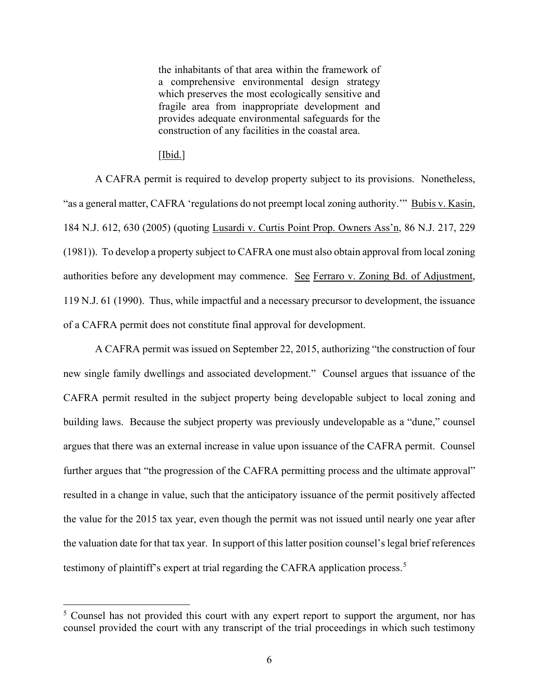the inhabitants of that area within the framework of a comprehensive environmental design strategy which preserves the most ecologically sensitive and fragile area from inappropriate development and provides adequate environmental safeguards for the construction of any facilities in the coastal area.

#### [Ibid.]

A CAFRA permit is required to develop property subject to its provisions. Nonetheless, "as a general matter, CAFRA 'regulations do not preempt local zoning authority.'" Bubis v. Kasin, 184 N.J. 612, 630 (2005) (quoting Lusardi v. Curtis Point Prop. Owners Ass'n, 86 N.J. 217, 229 (1981)). To develop a property subject to CAFRA one must also obtain approval from local zoning authorities before any development may commence. See Ferraro v. Zoning Bd. of Adjustment, 119 N.J. 61 (1990). Thus, while impactful and a necessary precursor to development, the issuance of a CAFRA permit does not constitute final approval for development.

A CAFRA permit was issued on September 22, 2015, authorizing "the construction of four new single family dwellings and associated development." Counsel argues that issuance of the CAFRA permit resulted in the subject property being developable subject to local zoning and building laws. Because the subject property was previously undevelopable as a "dune," counsel argues that there was an external increase in value upon issuance of the CAFRA permit. Counsel further argues that "the progression of the CAFRA permitting process and the ultimate approval" resulted in a change in value, such that the anticipatory issuance of the permit positively affected the value for the 2015 tax year, even though the permit was not issued until nearly one year after the valuation date for that tax year. In support of this latter position counsel's legal brief references testimony of plaintiff's expert at trial regarding the CAFRA application process.<sup>5</sup>

 $5$  Counsel has not provided this court with any expert report to support the argument, nor has counsel provided the court with any transcript of the trial proceedings in which such testimony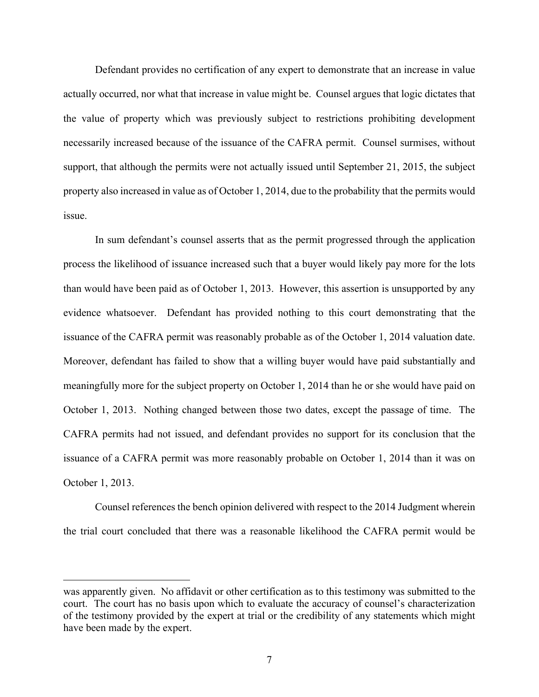Defendant provides no certification of any expert to demonstrate that an increase in value actually occurred, nor what that increase in value might be. Counsel argues that logic dictates that the value of property which was previously subject to restrictions prohibiting development necessarily increased because of the issuance of the CAFRA permit. Counsel surmises, without support, that although the permits were not actually issued until September 21, 2015, the subject property also increased in value as of October 1, 2014, due to the probability that the permits would issue.

In sum defendant's counsel asserts that as the permit progressed through the application process the likelihood of issuance increased such that a buyer would likely pay more for the lots than would have been paid as of October 1, 2013. However, this assertion is unsupported by any evidence whatsoever. Defendant has provided nothing to this court demonstrating that the issuance of the CAFRA permit was reasonably probable as of the October 1, 2014 valuation date. Moreover, defendant has failed to show that a willing buyer would have paid substantially and meaningfully more for the subject property on October 1, 2014 than he or she would have paid on October 1, 2013. Nothing changed between those two dates, except the passage of time. The CAFRA permits had not issued, and defendant provides no support for its conclusion that the issuance of a CAFRA permit was more reasonably probable on October 1, 2014 than it was on October 1, 2013.

Counsel references the bench opinion delivered with respect to the 2014 Judgment wherein the trial court concluded that there was a reasonable likelihood the CAFRA permit would be

was apparently given. No affidavit or other certification as to this testimony was submitted to the court. The court has no basis upon which to evaluate the accuracy of counsel's characterization of the testimony provided by the expert at trial or the credibility of any statements which might have been made by the expert.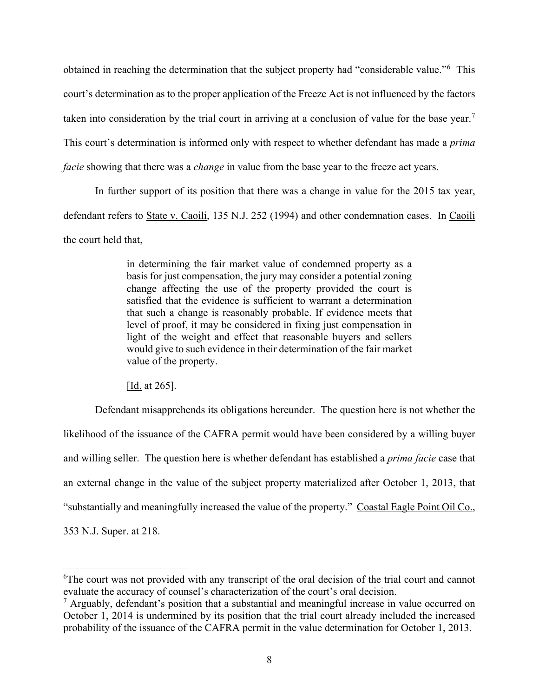obtained in reaching the determination that the subject property had "considerable value."<sup>6</sup> This court's determination as to the proper application of the Freeze Act is not influenced by the factors taken into consideration by the trial court in arriving at a conclusion of value for the base year.<sup>7</sup> This court's determination is informed only with respect to whether defendant has made a *prima facie* showing that there was a *change* in value from the base year to the freeze act years.

In further support of its position that there was a change in value for the 2015 tax year, defendant refers to State v. Caoili, 135 N.J. 252 (1994) and other condemnation cases. In Caoili the court held that,

> in determining the fair market value of condemned property as a basis for just compensation, the jury may consider a potential zoning change affecting the use of the property provided the court is satisfied that the evidence is sufficient to warrant a determination that such a change is reasonably probable. If evidence meets that level of proof, it may be considered in fixing just compensation in light of the weight and effect that reasonable buyers and sellers would give to such evidence in their determination of the fair market value of the property.

[Id. at 265].

Defendant misapprehends its obligations hereunder. The question here is not whether the likelihood of the issuance of the CAFRA permit would have been considered by a willing buyer and willing seller. The question here is whether defendant has established a *prima facie* case that an external change in the value of the subject property materialized after October 1, 2013, that "substantially and meaningfully increased the value of the property." Coastal Eagle Point Oil Co., 353 N.J. Super. at 218.

<sup>6</sup>The court was not provided with any transcript of the oral decision of the trial court and cannot evaluate the accuracy of counsel's characterization of the court's oral decision.<br><sup>7</sup> Arguably, defendant's position that a substantial and meaningful increase in value occurred on

October 1, 2014 is undermined by its position that the trial court already included the increased probability of the issuance of the CAFRA permit in the value determination for October 1, 2013.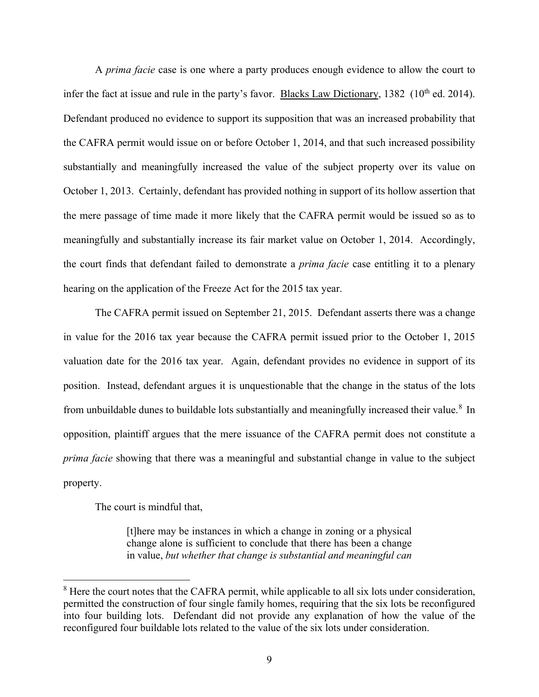A *prima facie* case is one where a party produces enough evidence to allow the court to infer the fact at issue and rule in the party's favor. Blacks Law Dictionary, 1382 ( $10^{th}$  ed. 2014). Defendant produced no evidence to support its supposition that was an increased probability that the CAFRA permit would issue on or before October 1, 2014, and that such increased possibility substantially and meaningfully increased the value of the subject property over its value on October 1, 2013. Certainly, defendant has provided nothing in support of its hollow assertion that the mere passage of time made it more likely that the CAFRA permit would be issued so as to meaningfully and substantially increase its fair market value on October 1, 2014. Accordingly, the court finds that defendant failed to demonstrate a *prima facie* case entitling it to a plenary hearing on the application of the Freeze Act for the 2015 tax year.

The CAFRA permit issued on September 21, 2015. Defendant asserts there was a change in value for the 2016 tax year because the CAFRA permit issued prior to the October 1, 2015 valuation date for the 2016 tax year. Again, defendant provides no evidence in support of its position. Instead, defendant argues it is unquestionable that the change in the status of the lots from unbuildable dunes to buildable lots substantially and meaningfully increased their value.<sup>8</sup> In opposition, plaintiff argues that the mere issuance of the CAFRA permit does not constitute a *prima facie* showing that there was a meaningful and substantial change in value to the subject property.

The court is mindful that,

[t]here may be instances in which a change in zoning or a physical change alone is sufficient to conclude that there has been a change in value, *but whether that change is substantial and meaningful can* 

<sup>&</sup>lt;sup>8</sup> Here the court notes that the CAFRA permit, while applicable to all six lots under consideration, permitted the construction of four single family homes, requiring that the six lots be reconfigured into four building lots. Defendant did not provide any explanation of how the value of the reconfigured four buildable lots related to the value of the six lots under consideration.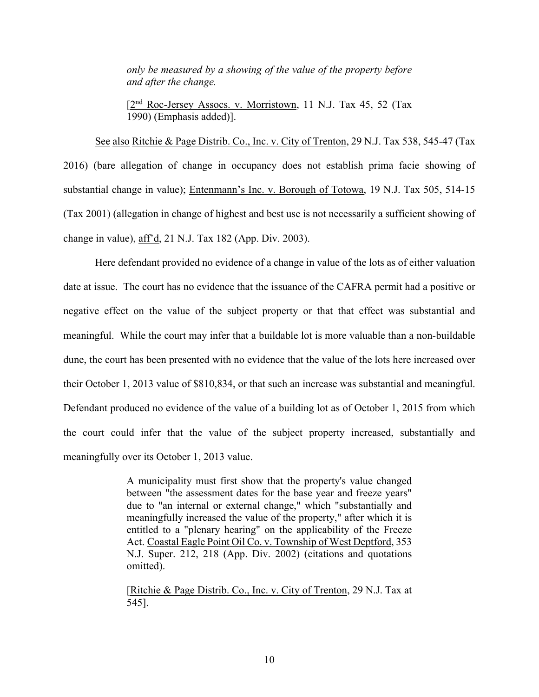*only be measured by a showing of the value of the property before and after the change.*

[2<sup>nd</sup> Roc-Jersey Assocs. v. Morristown, 11 N.J. Tax 45, 52 (Tax 1990) (Emphasis added)].

See also Ritchie & Page Distrib. Co., Inc. v. City of Trenton, 29 N.J. Tax 538, 545-47 (Tax 2016) (bare allegation of change in occupancy does not establish prima facie showing of substantial change in value); Entenmann's Inc. v. Borough of Totowa, 19 N.J. Tax 505, 514-15 (Tax 2001) (allegation in change of highest and best use is not necessarily a sufficient showing of change in value), aff'd, 21 N.J. Tax 182 (App. Div. 2003).

Here defendant provided no evidence of a change in value of the lots as of either valuation date at issue. The court has no evidence that the issuance of the CAFRA permit had a positive or negative effect on the value of the subject property or that that effect was substantial and meaningful. While the court may infer that a buildable lot is more valuable than a non-buildable dune, the court has been presented with no evidence that the value of the lots here increased over their October 1, 2013 value of \$810,834, or that such an increase was substantial and meaningful. Defendant produced no evidence of the value of a building lot as of October 1, 2015 from which the court could infer that the value of the subject property increased, substantially and meaningfully over its October 1, 2013 value.

> A municipality must first show that the property's value changed between "the assessment dates for the base year and freeze years" due to "an internal or external change," which "substantially and meaningfully increased the value of the property," after which it is entitled to a "plenary hearing" on the applicability of the Freeze Act. Coastal Eagle Point Oil Co. v. Township of West Deptford, 353 N.J. Super. 212, 218 (App. Div. 2002) (citations and quotations omitted).

> [Ritchie & Page Distrib. Co., Inc. v. City of Trenton, 29 N.J. Tax at 545].